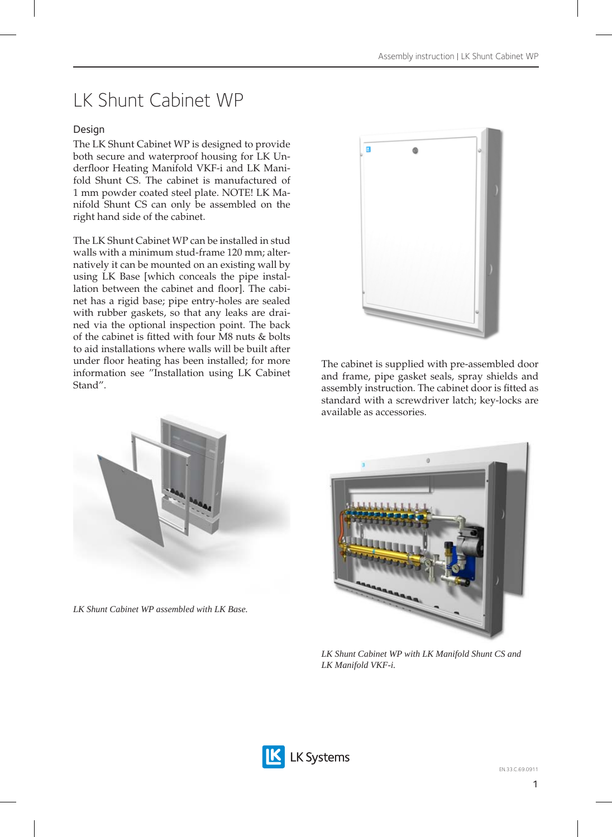# LK Shunt Cabinet WP

## Design

The LK Shunt Cabinet WP is designed to provide both secure and waterproof housing for LK Underfloor Heating Manifold VKF-i and LK Manifold Shunt CS. The cabinet is manufactured of 1 mm powder coated steel plate. NOTE! LK Manifold Shunt CS can only be assembled on the right hand side of the cabinet.

The LK Shunt Cabinet WP can be installed in stud walls with a minimum stud-frame 120 mm; alternatively it can be mounted on an existing wall by using LK Base [which conceals the pipe installation between the cabinet and floor]. The cabinet has a rigid base; pipe entry-holes are sealed with rubber gaskets, so that any leaks are drained via the optional inspection point. The back of the cabinet is fitted with four M8 nuts & bolts to aid installations where walls will be built after under floor heating has been installed; for more information see "Installation using LK Cabinet Stand".



The cabinet is supplied with pre-assembled door and frame, pipe gasket seals, spray shields and assembly instruction. The cabinet door is fitted as standard with a screwdriver latch; key-locks are available as accessories.



*LK Shunt Cabinet WP assembled with LK Base.*



*LK Shunt Cabinet WP with LK Manifold Shunt CS and LK Manifold VKF-i.*

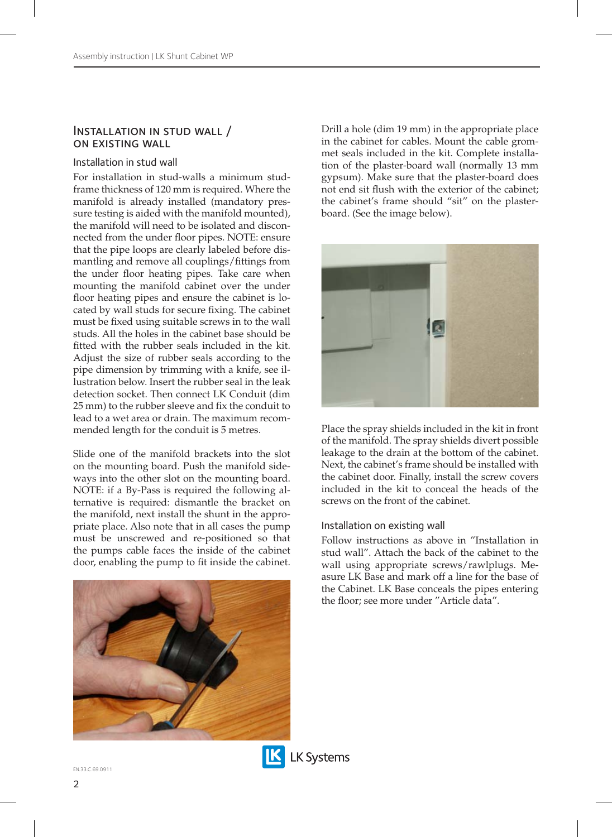#### Installation in stud wall / on existing wall

#### Installation in stud wall

For installation in stud-walls a minimum studframe thickness of 120 mm is required. Where the manifold is already installed (mandatory pressure testing is aided with the manifold mounted), the manifold will need to be isolated and disconnected from the under floor pipes. NOTE: ensure that the pipe loops are clearly labeled before dismantling and remove all couplings/fittings from the under floor heating pipes. Take care when mounting the manifold cabinet over the under floor heating pipes and ensure the cabinet is located by wall studs for secure fixing. The cabinet must be fixed using suitable screws in to the wall studs. All the holes in the cabinet base should be fitted with the rubber seals included in the kit. Adjust the size of rubber seals according to the pipe dimension by trimming with a knife, see illustration below. Insert the rubber seal in the leak detection socket. Then connect LK Conduit (dim 25 mm) to the rubber sleeve and fix the conduit to lead to a wet area or drain. The maximum recommended length for the conduit is 5 metres.

Slide one of the manifold brackets into the slot on the mounting board. Push the manifold sideways into the other slot on the mounting board. NOTE: if a By-Pass is required the following alternative is required: dismantle the bracket on the manifold, next install the shunt in the appropriate place. Also note that in all cases the pump must be unscrewed and re-positioned so that the pumps cable faces the inside of the cabinet door, enabling the pump to fit inside the cabinet.



Drill a hole (dim 19 mm) in the appropriate place in the cabinet for cables. Mount the cable grommet seals included in the kit. Complete installation of the plaster-board wall (normally 13 mm gypsum). Make sure that the plaster-board does not end sit flush with the exterior of the cabinet: the cabinet's frame should "sit" on the plasterboard. (See the image below).



Place the spray shields included in the kit in front of the manifold. The spray shields divert possible leakage to the drain at the bottom of the cabinet. Next, the cabinet's frame should be installed with the cabinet door. Finally, install the screw covers included in the kit to conceal the heads of the screws on the front of the cabinet.

#### Installation on existing wall

Follow instructions as above in "Installation in stud wall". Attach the back of the cabinet to the wall using appropriate screws/rawlplugs. Measure LK Base and mark off a line for the base of the Cabinet. LK Base conceals the pipes entering the floor; see more under "Article data".

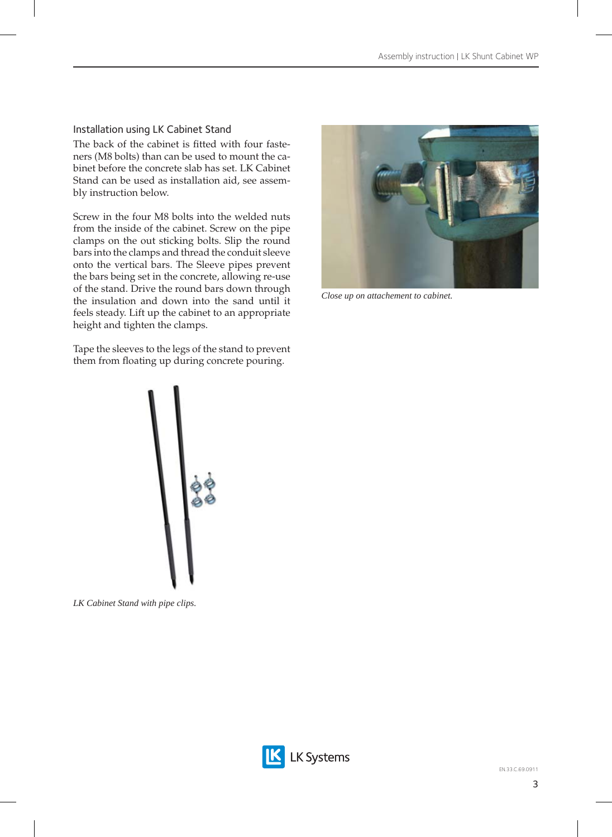### Installation using LK Cabinet Stand

The back of the cabinet is fitted with four fasteners (M8 bolts) than can be used to mount the cabinet before the concrete slab has set. LK Cabinet Stand can be used as installation aid, see assembly instruction below.

Screw in the four M8 bolts into the welded nuts from the inside of the cabinet. Screw on the pipe clamps on the out sticking bolts. Slip the round bars into the clamps and thread the conduit sleeve onto the vertical bars. The Sleeve pipes prevent the bars being set in the concrete, allowing re-use of the stand. Drive the round bars down through the insulation and down into the sand until it feels steady. Lift up the cabinet to an appropriate height and tighten the clamps.

Tape the sleeves to the legs of the stand to prevent them from floating up during concrete pouring.



*LK Cabinet Stand with pipe clips.*



*Close up on attachement to cabinet.*